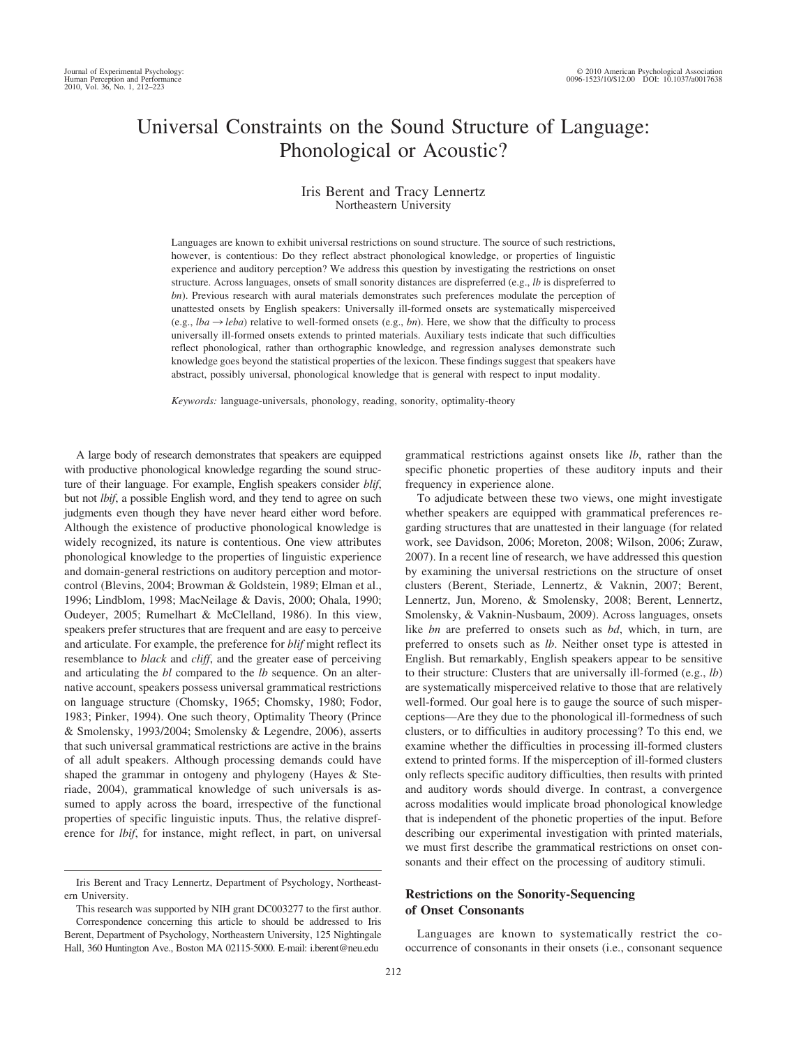# Universal Constraints on the Sound Structure of Language: Phonological or Acoustic?

#### Iris Berent and Tracy Lennertz Northeastern University

Languages are known to exhibit universal restrictions on sound structure. The source of such restrictions, however, is contentious: Do they reflect abstract phonological knowledge, or properties of linguistic experience and auditory perception? We address this question by investigating the restrictions on onset structure. Across languages, onsets of small sonority distances are dispreferred (e.g., *lb* is dispreferred to *bn*). Previous research with aural materials demonstrates such preferences modulate the perception of unattested onsets by English speakers: Universally ill-formed onsets are systematically misperceived (e.g.,  $lba \rightarrow leba$ ) relative to well-formed onsets (e.g.,  $bn$ ). Here, we show that the difficulty to process universally ill-formed onsets extends to printed materials. Auxiliary tests indicate that such difficulties reflect phonological, rather than orthographic knowledge, and regression analyses demonstrate such knowledge goes beyond the statistical properties of the lexicon. These findings suggest that speakers have abstract, possibly universal, phonological knowledge that is general with respect to input modality.

*Keywords:* language-universals, phonology, reading, sonority, optimality-theory

A large body of research demonstrates that speakers are equipped with productive phonological knowledge regarding the sound structure of their language. For example, English speakers consider *blif*, but not *lbif*, a possible English word, and they tend to agree on such judgments even though they have never heard either word before. Although the existence of productive phonological knowledge is widely recognized, its nature is contentious. One view attributes phonological knowledge to the properties of linguistic experience and domain-general restrictions on auditory perception and motorcontrol (Blevins, 2004; Browman & Goldstein, 1989; Elman et al., 1996; Lindblom, 1998; MacNeilage & Davis, 2000; Ohala, 1990; Oudeyer, 2005; Rumelhart & McClelland, 1986). In this view, speakers prefer structures that are frequent and are easy to perceive and articulate. For example, the preference for *blif* might reflect its resemblance to *black* and *cliff*, and the greater ease of perceiving and articulating the *bl* compared to the *lb* sequence. On an alternative account, speakers possess universal grammatical restrictions on language structure (Chomsky, 1965; Chomsky, 1980; Fodor, 1983; Pinker, 1994). One such theory, Optimality Theory (Prince & Smolensky, 1993/2004; Smolensky & Legendre, 2006), asserts that such universal grammatical restrictions are active in the brains of all adult speakers. Although processing demands could have shaped the grammar in ontogeny and phylogeny (Hayes & Steriade, 2004), grammatical knowledge of such universals is assumed to apply across the board, irrespective of the functional properties of specific linguistic inputs. Thus, the relative dispreference for *lbif*, for instance, might reflect, in part, on universal

grammatical restrictions against onsets like *lb*, rather than the specific phonetic properties of these auditory inputs and their frequency in experience alone.

To adjudicate between these two views, one might investigate whether speakers are equipped with grammatical preferences regarding structures that are unattested in their language (for related work, see Davidson, 2006; Moreton, 2008; Wilson, 2006; Zuraw, 2007). In a recent line of research, we have addressed this question by examining the universal restrictions on the structure of onset clusters (Berent, Steriade, Lennertz, & Vaknin, 2007; Berent, Lennertz, Jun, Moreno, & Smolensky, 2008; Berent, Lennertz, Smolensky, & Vaknin-Nusbaum, 2009). Across languages, onsets like *bn* are preferred to onsets such as *bd*, which, in turn, are preferred to onsets such as *lb*. Neither onset type is attested in English. But remarkably, English speakers appear to be sensitive to their structure: Clusters that are universally ill-formed (e.g., *lb*) are systematically misperceived relative to those that are relatively well-formed. Our goal here is to gauge the source of such misperceptions—Are they due to the phonological ill-formedness of such clusters, or to difficulties in auditory processing? To this end, we examine whether the difficulties in processing ill-formed clusters extend to printed forms. If the misperception of ill-formed clusters only reflects specific auditory difficulties, then results with printed and auditory words should diverge. In contrast, a convergence across modalities would implicate broad phonological knowledge that is independent of the phonetic properties of the input. Before describing our experimental investigation with printed materials, we must first describe the grammatical restrictions on onset consonants and their effect on the processing of auditory stimuli.

### **Restrictions on the Sonority-Sequencing of Onset Consonants**

Languages are known to systematically restrict the cooccurrence of consonants in their onsets (i.e., consonant sequence

Iris Berent and Tracy Lennertz, Department of Psychology, Northeastern University.

This research was supported by NIH grant DC003277 to the first author. Correspondence concerning this article to should be addressed to Iris Berent, Department of Psychology, Northeastern University, 125 Nightingale Hall, 360 Huntington Ave., Boston MA 02115-5000. E-mail: i.berent@neu.edu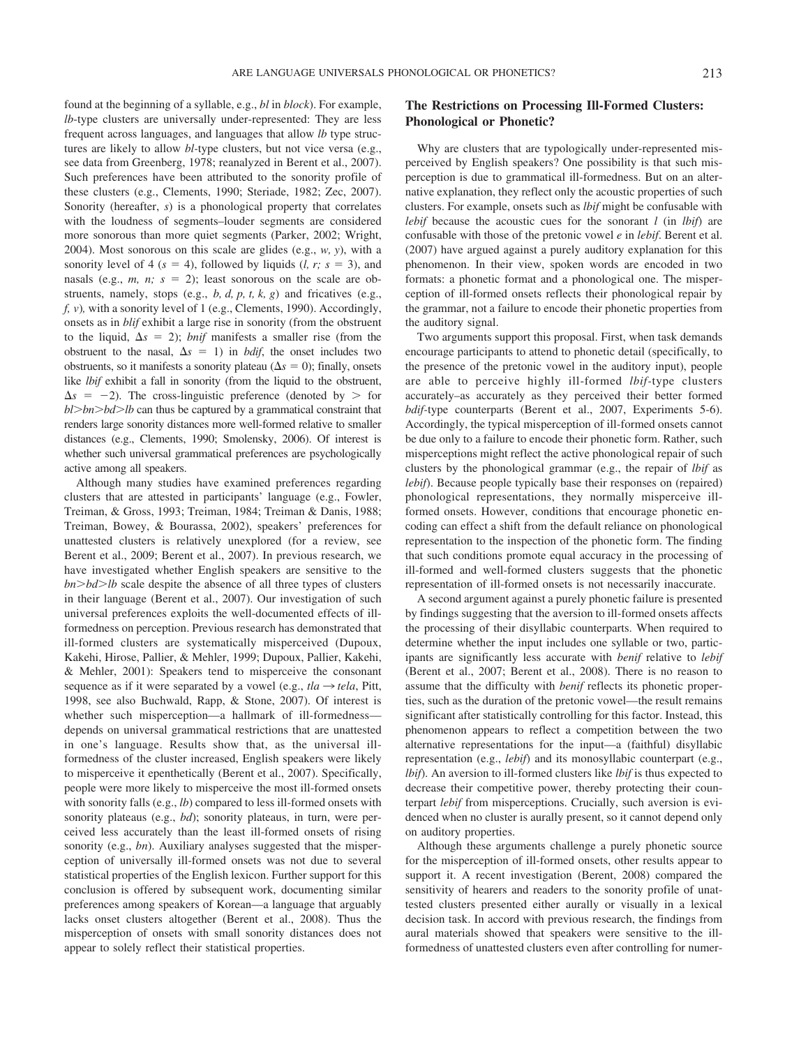found at the beginning of a syllable, e.g., *bl* in *block*). For example, *lb*-type clusters are universally under-represented: They are less frequent across languages, and languages that allow *lb* type structures are likely to allow *bl-*type clusters, but not vice versa (e.g., see data from Greenberg, 1978; reanalyzed in Berent et al., 2007). Such preferences have been attributed to the sonority profile of these clusters (e.g., Clements, 1990; Steriade, 1982; Zec, 2007). Sonority (hereafter, *s*) is a phonological property that correlates with the loudness of segments–louder segments are considered more sonorous than more quiet segments (Parker, 2002; Wright, 2004). Most sonorous on this scale are glides (e.g., *w, y*), with a sonority level of 4 ( $s = 4$ ), followed by liquids (*l, r; s* = 3), and nasals (e.g.,  $m$ ,  $n$ ;  $s = 2$ ); least sonorous on the scale are obstruents, namely, stops (e.g., *b, d, p, t, k, g*) and fricatives (e.g., *f, v*)*,* with a sonority level of 1 (e.g., Clements, 1990). Accordingly, onsets as in *blif* exhibit a large rise in sonority (from the obstruent to the liquid,  $\Delta s = 2$ ); *bnif* manifests a smaller rise (from the obstruent to the nasal,  $\Delta s = 1$ ) in *bdif*, the onset includes two obstruents, so it manifests a sonority plateau ( $\Delta s = 0$ ); finally, onsets like *lbif* exhibit a fall in sonority (from the liquid to the obstruent,  $\Delta s = -2$ ). The cross-linguistic preference (denoted by  $>$  for  $bl$ *bl* $>$ *bn* $>$ *bd* $>$ *lb* can thus be captured by a grammatical constraint that renders large sonority distances more well-formed relative to smaller distances (e.g., Clements, 1990; Smolensky, 2006). Of interest is whether such universal grammatical preferences are psychologically active among all speakers.

Although many studies have examined preferences regarding clusters that are attested in participants' language (e.g., Fowler, Treiman, & Gross, 1993; Treiman, 1984; Treiman & Danis, 1988; Treiman, Bowey, & Bourassa, 2002), speakers' preferences for unattested clusters is relatively unexplored (for a review, see Berent et al., 2009; Berent et al., 2007). In previous research, we have investigated whether English speakers are sensitive to the  $bn \geq bd \geq lb$  scale despite the absence of all three types of clusters in their language (Berent et al., 2007). Our investigation of such universal preferences exploits the well-documented effects of illformedness on perception. Previous research has demonstrated that ill-formed clusters are systematically misperceived (Dupoux, Kakehi, Hirose, Pallier, & Mehler, 1999; Dupoux, Pallier, Kakehi, & Mehler, 2001): Speakers tend to misperceive the consonant sequence as if it were separated by a vowel (e.g.,  $t/a \rightarrow tela$ , Pitt, 1998, see also Buchwald, Rapp, & Stone, 2007). Of interest is whether such misperception—a hallmark of ill-formedness depends on universal grammatical restrictions that are unattested in one's language. Results show that, as the universal illformedness of the cluster increased, English speakers were likely to misperceive it epenthetically (Berent et al., 2007). Specifically, people were more likely to misperceive the most ill-formed onsets with sonority falls (e.g., *lb*) compared to less ill-formed onsets with sonority plateaus (e.g., *bd*); sonority plateaus, in turn, were perceived less accurately than the least ill-formed onsets of rising sonority (e.g., *bn*). Auxiliary analyses suggested that the misperception of universally ill-formed onsets was not due to several statistical properties of the English lexicon. Further support for this conclusion is offered by subsequent work, documenting similar preferences among speakers of Korean—a language that arguably lacks onset clusters altogether (Berent et al., 2008). Thus the misperception of onsets with small sonority distances does not appear to solely reflect their statistical properties.

### **The Restrictions on Processing Ill-Formed Clusters: Phonological or Phonetic?**

Why are clusters that are typologically under-represented misperceived by English speakers? One possibility is that such misperception is due to grammatical ill-formedness. But on an alternative explanation, they reflect only the acoustic properties of such clusters. For example, onsets such as *lbif* might be confusable with *lebif* because the acoustic cues for the sonorant *l* (in *lbif*) are confusable with those of the pretonic vowel *e* in *lebif*. Berent et al. (2007) have argued against a purely auditory explanation for this phenomenon. In their view, spoken words are encoded in two formats: a phonetic format and a phonological one. The misperception of ill-formed onsets reflects their phonological repair by the grammar, not a failure to encode their phonetic properties from the auditory signal.

Two arguments support this proposal. First, when task demands encourage participants to attend to phonetic detail (specifically, to the presence of the pretonic vowel in the auditory input), people are able to perceive highly ill-formed *lbif-*type clusters accurately–as accurately as they perceived their better formed *bdif-*type counterparts (Berent et al., 2007, Experiments 5-6). Accordingly, the typical misperception of ill-formed onsets cannot be due only to a failure to encode their phonetic form. Rather, such misperceptions might reflect the active phonological repair of such clusters by the phonological grammar (e.g., the repair of *lbif* as *lebif*). Because people typically base their responses on (repaired) phonological representations, they normally misperceive illformed onsets. However, conditions that encourage phonetic encoding can effect a shift from the default reliance on phonological representation to the inspection of the phonetic form. The finding that such conditions promote equal accuracy in the processing of ill-formed and well-formed clusters suggests that the phonetic representation of ill-formed onsets is not necessarily inaccurate.

A second argument against a purely phonetic failure is presented by findings suggesting that the aversion to ill-formed onsets affects the processing of their disyllabic counterparts. When required to determine whether the input includes one syllable or two, participants are significantly less accurate with *benif* relative to *lebif* (Berent et al., 2007; Berent et al., 2008). There is no reason to assume that the difficulty with *benif* reflects its phonetic properties, such as the duration of the pretonic vowel—the result remains significant after statistically controlling for this factor. Instead, this phenomenon appears to reflect a competition between the two alternative representations for the input—a (faithful) disyllabic representation (e.g., *lebif*) and its monosyllabic counterpart (e.g., *lbif*). An aversion to ill-formed clusters like *lbif* is thus expected to decrease their competitive power, thereby protecting their counterpart *lebif* from misperceptions. Crucially, such aversion is evidenced when no cluster is aurally present, so it cannot depend only on auditory properties.

Although these arguments challenge a purely phonetic source for the misperception of ill-formed onsets, other results appear to support it. A recent investigation (Berent, 2008) compared the sensitivity of hearers and readers to the sonority profile of unattested clusters presented either aurally or visually in a lexical decision task. In accord with previous research, the findings from aural materials showed that speakers were sensitive to the illformedness of unattested clusters even after controlling for numer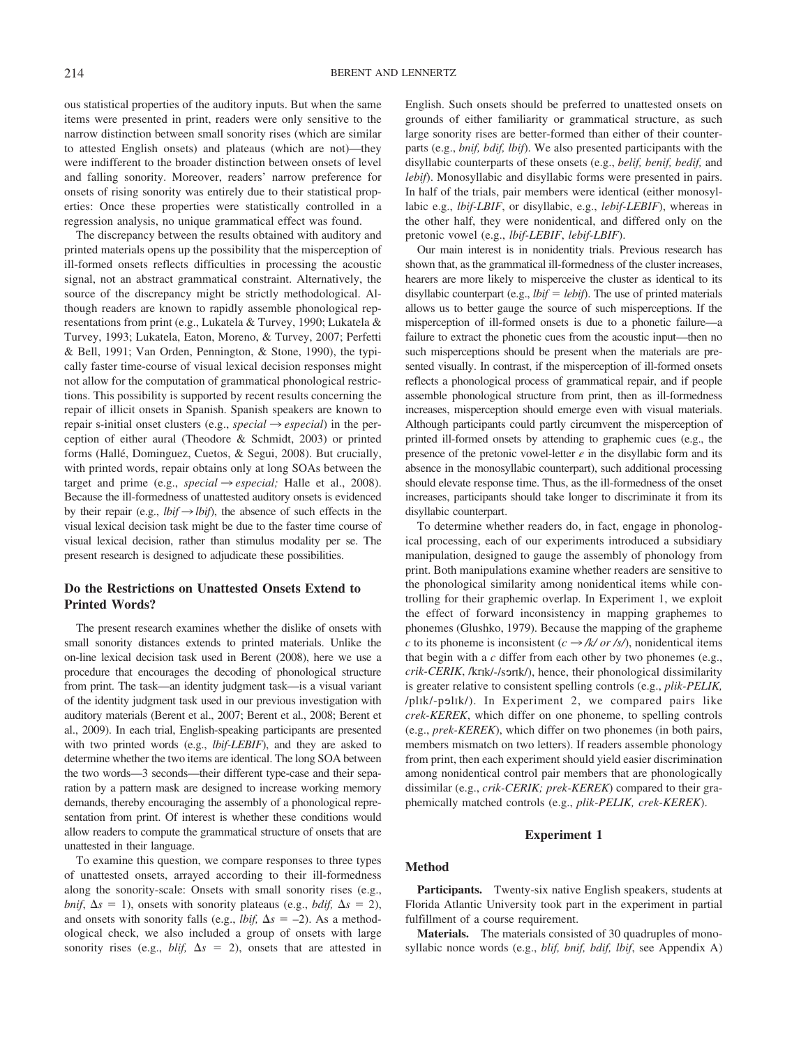ous statistical properties of the auditory inputs. But when the same items were presented in print, readers were only sensitive to the narrow distinction between small sonority rises (which are similar to attested English onsets) and plateaus (which are not)—they were indifferent to the broader distinction between onsets of level and falling sonority. Moreover, readers' narrow preference for onsets of rising sonority was entirely due to their statistical properties: Once these properties were statistically controlled in a regression analysis, no unique grammatical effect was found.

The discrepancy between the results obtained with auditory and printed materials opens up the possibility that the misperception of ill-formed onsets reflects difficulties in processing the acoustic signal, not an abstract grammatical constraint. Alternatively, the source of the discrepancy might be strictly methodological. Although readers are known to rapidly assemble phonological representations from print (e.g., Lukatela & Turvey, 1990; Lukatela & Turvey, 1993; Lukatela, Eaton, Moreno, & Turvey, 2007; Perfetti & Bell, 1991; Van Orden, Pennington, & Stone, 1990), the typically faster time-course of visual lexical decision responses might not allow for the computation of grammatical phonological restrictions. This possibility is supported by recent results concerning the repair of illicit onsets in Spanish. Spanish speakers are known to repair s-initial onset clusters (e.g., *special*  $\rightarrow$  *especial*) in the perception of either aural (Theodore & Schmidt, 2003) or printed forms (Hallé, Dominguez, Cuetos, & Segui, 2008). But crucially, with printed words, repair obtains only at long SOAs between the target and prime (e.g., *special*  $\rightarrow$  *especial*; Halle et al., 2008). Because the ill-formedness of unattested auditory onsets is evidenced by their repair (e.g.,  $l \dot{b} i f \rightarrow l \dot{b} i f$ ), the absence of such effects in the visual lexical decision task might be due to the faster time course of visual lexical decision, rather than stimulus modality per se. The present research is designed to adjudicate these possibilities.

### **Do the Restrictions on Unattested Onsets Extend to Printed Words?**

The present research examines whether the dislike of onsets with small sonority distances extends to printed materials. Unlike the on-line lexical decision task used in Berent (2008), here we use a procedure that encourages the decoding of phonological structure from print. The task—an identity judgment task—is a visual variant of the identity judgment task used in our previous investigation with auditory materials (Berent et al., 2007; Berent et al., 2008; Berent et al., 2009). In each trial, English-speaking participants are presented with two printed words (e.g., *lbif-LEBIF*), and they are asked to determine whether the two items are identical. The long SOA between the two words—3 seconds—their different type-case and their separation by a pattern mask are designed to increase working memory demands, thereby encouraging the assembly of a phonological representation from print. Of interest is whether these conditions would allow readers to compute the grammatical structure of onsets that are unattested in their language.

To examine this question, we compare responses to three types of unattested onsets, arrayed according to their ill-formedness along the sonority-scale: Onsets with small sonority rises (e.g., *bnif*,  $\Delta s = 1$ ), onsets with sonority plateaus (e.g., *bdif*,  $\Delta s = 2$ ), and onsets with sonority falls (e.g., *lbif*,  $\Delta s = -2$ ). As a methodological check, we also included a group of onsets with large sonority rises (e.g., *blif*,  $\Delta s = 2$ ), onsets that are attested in

English. Such onsets should be preferred to unattested onsets on grounds of either familiarity or grammatical structure, as such large sonority rises are better-formed than either of their counterparts (e.g., *bnif, bdif, lbif*). We also presented participants with the disyllabic counterparts of these onsets (e.g., *belif, benif, bedif,* and *lebif*). Monosyllabic and disyllabic forms were presented in pairs. In half of the trials, pair members were identical (either monosyllabic e.g., *lbif-LBIF*, or disyllabic, e.g., *lebif-LEBIF*), whereas in the other half, they were nonidentical, and differed only on the pretonic vowel (e.g., *lbif-LEBIF*, *lebif-LBIF*).

Our main interest is in nonidentity trials. Previous research has shown that, as the grammatical ill-formedness of the cluster increases, hearers are more likely to misperceive the cluster as identical to its disyllabic counterpart (e.g.,  $l \frac{b}{f} = \frac{l \cdot b}{f}$ ). The use of printed materials allows us to better gauge the source of such misperceptions. If the misperception of ill-formed onsets is due to a phonetic failure—a failure to extract the phonetic cues from the acoustic input—then no such misperceptions should be present when the materials are presented visually. In contrast, if the misperception of ill-formed onsets reflects a phonological process of grammatical repair, and if people assemble phonological structure from print, then as ill-formedness increases, misperception should emerge even with visual materials. Although participants could partly circumvent the misperception of printed ill-formed onsets by attending to graphemic cues (e.g., the presence of the pretonic vowel-letter *e* in the disyllabic form and its absence in the monosyllabic counterpart), such additional processing should elevate response time. Thus, as the ill-formedness of the onset increases, participants should take longer to discriminate it from its disyllabic counterpart.

To determine whether readers do, in fact, engage in phonological processing, each of our experiments introduced a subsidiary manipulation, designed to gauge the assembly of phonology from print. Both manipulations examine whether readers are sensitive to the phonological similarity among nonidentical items while controlling for their graphemic overlap. In Experiment 1, we exploit the effect of forward inconsistency in mapping graphemes to phonemes (Glushko, 1979). Because the mapping of the grapheme *c* to its phoneme is inconsistent ( $c \rightarrow /k / or /s$ ), nonidentical items that begin with a *c* differ from each other by two phonemes (e.g., *crik-CERIK*, /krIk/-/sɘrIk/), hence, their phonological dissimilarity is greater relative to consistent spelling controls (e.g., *plik-PELIK,* /plIk/-pɘlIk/). In Experiment 2, we compared pairs like *crek-KEREK*, which differ on one phoneme, to spelling controls (e.g., *prek-KEREK*), which differ on two phonemes (in both pairs, members mismatch on two letters). If readers assemble phonology from print, then each experiment should yield easier discrimination among nonidentical control pair members that are phonologically dissimilar (e.g., *crik-CERIK; prek-KEREK*) compared to their graphemically matched controls (e.g., *plik-PELIK, crek-KEREK*).

#### **Experiment 1**

#### **Method**

**Participants.** Twenty-six native English speakers, students at Florida Atlantic University took part in the experiment in partial fulfillment of a course requirement.

**Materials.** The materials consisted of 30 quadruples of monosyllabic nonce words (e.g., *blif, bnif, bdif, lbif*, see Appendix A)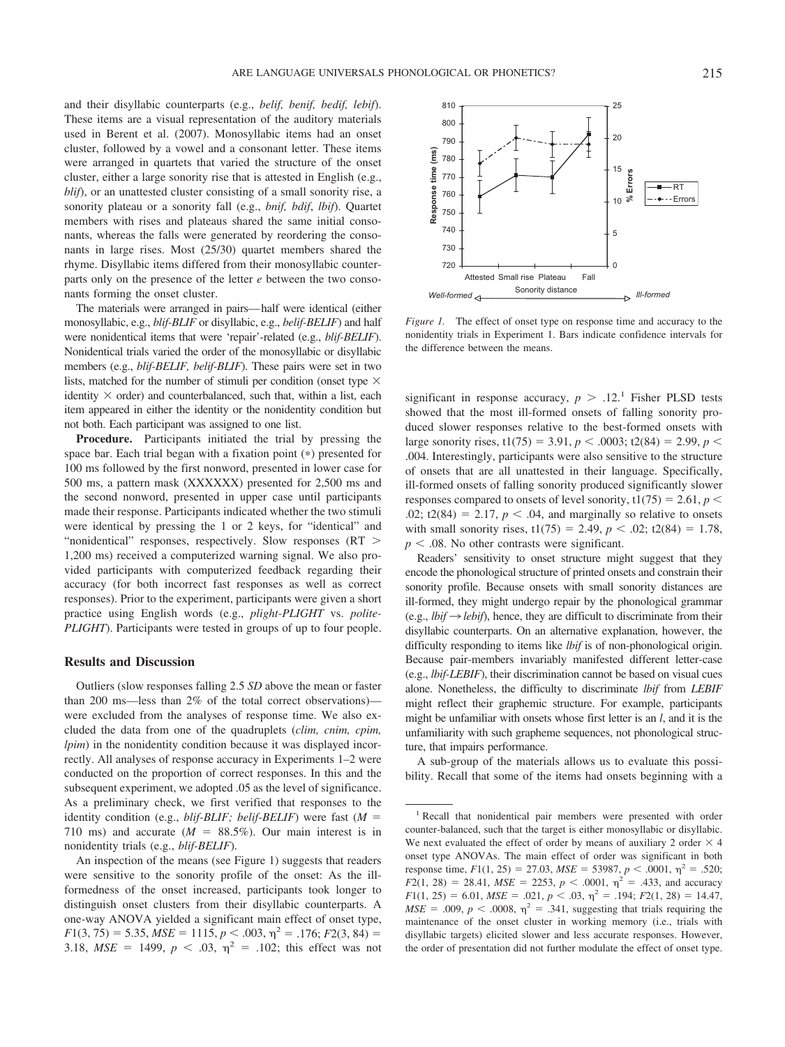and their disyllabic counterparts (e.g., *belif, benif, bedif, lebif*). These items are a visual representation of the auditory materials used in Berent et al. (2007). Monosyllabic items had an onset cluster, followed by a vowel and a consonant letter. These items were arranged in quartets that varied the structure of the onset cluster, either a large sonority rise that is attested in English (e.g., *blif*), or an unattested cluster consisting of a small sonority rise, a sonority plateau or a sonority fall (e.g., *bnif, bdif*, *lbif*). Quartet members with rises and plateaus shared the same initial consonants, whereas the falls were generated by reordering the consonants in large rises. Most (25/30) quartet members shared the rhyme. Disyllabic items differed from their monosyllabic counterparts only on the presence of the letter *e* between the two consonants forming the onset cluster.

The materials were arranged in pairs— half were identical (either monosyllabic, e.g., *blif-BLIF* or disyllabic, e.g., *belif-BELIF*) and half were nonidentical items that were 'repair'-related (e.g., *blif-BELIF*). Nonidentical trials varied the order of the monosyllabic or disyllabic members (e.g., *blif-BELIF, belif-BLIF*). These pairs were set in two lists, matched for the number of stimuli per condition (onset type  $\times$ identity  $\times$  order) and counterbalanced, such that, within a list, each item appeared in either the identity or the nonidentity condition but not both. Each participant was assigned to one list.

**Procedure.** Participants initiated the trial by pressing the space bar. Each trial began with a fixation point  $(*)$  presented for 100 ms followed by the first nonword, presented in lower case for 500 ms, a pattern mask (XXXXXX) presented for 2,500 ms and the second nonword, presented in upper case until participants made their response. Participants indicated whether the two stimuli were identical by pressing the 1 or 2 keys, for "identical" and "nonidentical" responses, respectively. Slow responses (RT  $>$ 1,200 ms) received a computerized warning signal. We also provided participants with computerized feedback regarding their accuracy (for both incorrect fast responses as well as correct responses). Prior to the experiment, participants were given a short practice using English words (e.g., *plight-PLIGHT* vs. *polite-PLIGHT*). Participants were tested in groups of up to four people.

#### **Results and Discussion**

Outliers (slow responses falling 2.5 *SD* above the mean or faster than 200 ms—less than 2% of the total correct observations) were excluded from the analyses of response time. We also excluded the data from one of the quadruplets (*clim, cnim, cpim, lpim*) in the nonidentity condition because it was displayed incorrectly. All analyses of response accuracy in Experiments 1–2 were conducted on the proportion of correct responses. In this and the subsequent experiment, we adopted .05 as the level of significance. As a preliminary check, we first verified that responses to the identity condition (e.g., *blif-BLIF; belif-BELIF*) were fast (*M* 710 ms) and accurate  $(M = 88.5\%)$ . Our main interest is in nonidentity trials (e.g., *blif-BELIF*).

An inspection of the means (see Figure 1) suggests that readers were sensitive to the sonority profile of the onset: As the illformedness of the onset increased, participants took longer to distinguish onset clusters from their disyllabic counterparts. A one-way ANOVA yielded a significant main effect of onset type,  $F1(3, 75) = 5.35$ ,  $MSE = 1115$ ,  $p < .003$ ,  $\eta^2 = .176$ ;  $F2(3, 84) =$ 3.18,  $MSE = 1499$ ,  $p < .03$ ,  $\eta^2 = .102$ ; this effect was not



*Figure 1.* The effect of onset type on response time and accuracy to the nonidentity trials in Experiment 1. Bars indicate confidence intervals for the difference between the means.

significant in response accuracy,  $p > .12$ .<sup>1</sup> Fisher PLSD tests showed that the most ill-formed onsets of falling sonority produced slower responses relative to the best-formed onsets with large sonority rises,  $t1(75) = 3.91$ ,  $p < .0003$ ;  $t2(84) = 2.99$ ,  $p <$ .004. Interestingly, participants were also sensitive to the structure of onsets that are all unattested in their language. Specifically, ill-formed onsets of falling sonority produced significantly slower responses compared to onsets of level sonority,  $t1(75) = 2.61$ ,  $p <$ .02;  $t2(84) = 2.17$ ,  $p < .04$ , and marginally so relative to onsets with small sonority rises,  $t1(75) = 2.49$ ,  $p < .02$ ;  $t2(84) = 1.78$ ,  $p < .08$ . No other contrasts were significant.

Readers' sensitivity to onset structure might suggest that they encode the phonological structure of printed onsets and constrain their sonority profile. Because onsets with small sonority distances are ill-formed, they might undergo repair by the phonological grammar (e.g.,  $lbif \rightarrow lebif$ ), hence, they are difficult to discriminate from their disyllabic counterparts. On an alternative explanation, however, the difficulty responding to items like *lbif* is of non-phonological origin. Because pair-members invariably manifested different letter-case (e.g., *lbif-LEBIF*), their discrimination cannot be based on visual cues alone. Nonetheless, the difficulty to discriminate *lbif* from *LEBIF* might reflect their graphemic structure. For example, participants might be unfamiliar with onsets whose first letter is an *l*, and it is the unfamiliarity with such grapheme sequences, not phonological structure, that impairs performance.

A sub-group of the materials allows us to evaluate this possibility. Recall that some of the items had onsets beginning with a

<sup>1</sup> Recall that nonidentical pair members were presented with order counter-balanced, such that the target is either monosyllabic or disyllabic. We next evaluated the effect of order by means of auxiliary 2 order  $\times$  4 onset type ANOVAs. The main effect of order was significant in both response time,  $F1(1, 25) = 27.03$ ,  $MSE = 53987$ ,  $p < .0001$ ,  $\eta^2 = .520$ ;  $F2(1, 28) = 28.41$ ,  $MSE = 2253$ ,  $p < .0001$ ,  $\eta^2 = .433$ , and accuracy  $F1(1, 25) = 6.01$ ,  $MSE = .021$ ,  $p < .03$ ,  $\eta^2 = .194$ ;  $F2(1, 28) = 14.47$ ,  $MSE = .009$ ,  $p < .0008$ ,  $\eta^2 = .341$ , suggesting that trials requiring the maintenance of the onset cluster in working memory (i.e., trials with disyllabic targets) elicited slower and less accurate responses. However, the order of presentation did not further modulate the effect of onset type.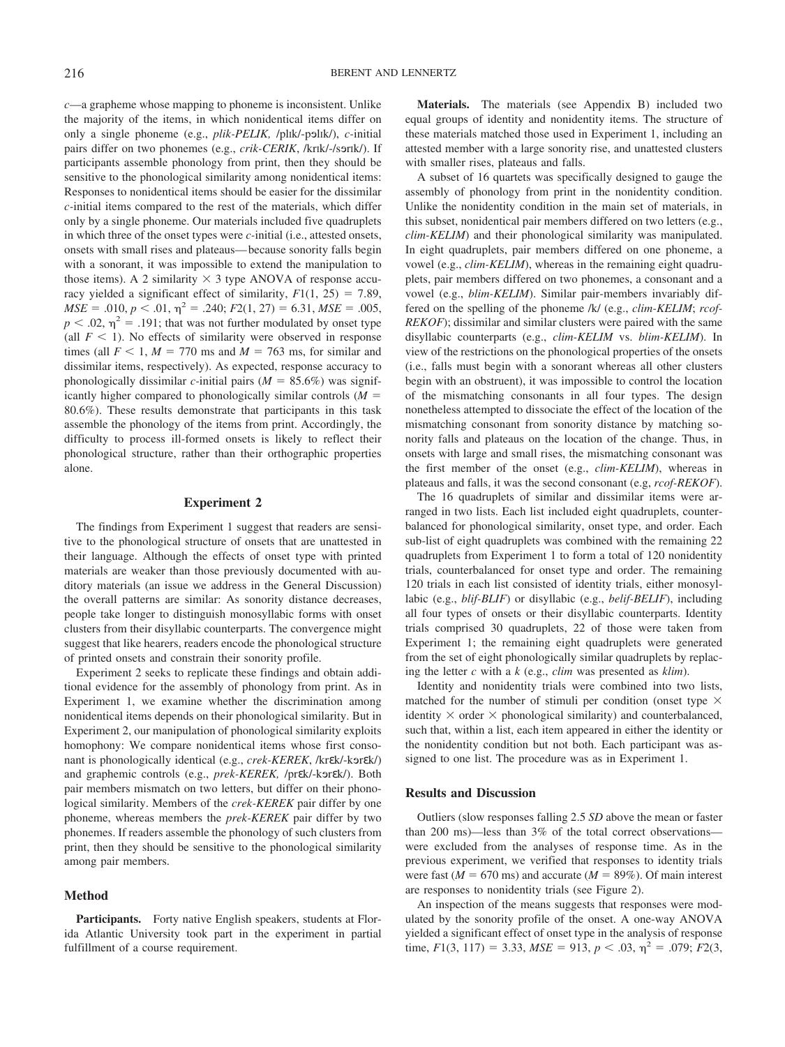*c*—a grapheme whose mapping to phoneme is inconsistent. Unlike the majority of the items, in which nonidentical items differ on only a single phoneme (e.g., *plik-PELIK,* /plIk/-pɘlIk/), *c-*initial pairs differ on two phonemes (e.g., *crik-CERIK*, /krIk/-/sorIk/). If participants assemble phonology from print, then they should be sensitive to the phonological similarity among nonidentical items: Responses to nonidentical items should be easier for the dissimilar *c-*initial items compared to the rest of the materials, which differ only by a single phoneme. Our materials included five quadruplets in which three of the onset types were *c-*initial (i.e., attested onsets, onsets with small rises and plateaus— because sonority falls begin with a sonorant, it was impossible to extend the manipulation to those items). A 2 similarity  $\times$  3 type ANOVA of response accuracy yielded a significant effect of similarity,  $F1(1, 25) = 7.89$ ,  $MSE = .010, p < .01, \eta^2 = .240; F2(1, 27) = 6.31, MSE = .005,$  $p < .02$ ,  $\eta^2 = .191$ ; that was not further modulated by onset type (all  $F < 1$ ). No effects of similarity were observed in response times (all  $F < 1$ ,  $M = 770$  ms and  $M = 763$  ms, for similar and dissimilar items, respectively). As expected, response accuracy to phonologically dissimilar *c*-initial pairs ( $M = 85.6\%$ ) was significantly higher compared to phonologically similar controls (*M* 80.6%). These results demonstrate that participants in this task assemble the phonology of the items from print. Accordingly, the difficulty to process ill-formed onsets is likely to reflect their phonological structure, rather than their orthographic properties alone.

#### **Experiment 2**

The findings from Experiment 1 suggest that readers are sensitive to the phonological structure of onsets that are unattested in their language. Although the effects of onset type with printed materials are weaker than those previously documented with auditory materials (an issue we address in the General Discussion) the overall patterns are similar: As sonority distance decreases, people take longer to distinguish monosyllabic forms with onset clusters from their disyllabic counterparts. The convergence might suggest that like hearers, readers encode the phonological structure of printed onsets and constrain their sonority profile.

Experiment 2 seeks to replicate these findings and obtain additional evidence for the assembly of phonology from print. As in Experiment 1, we examine whether the discrimination among nonidentical items depends on their phonological similarity. But in Experiment 2, our manipulation of phonological similarity exploits homophony: We compare nonidentical items whose first consonant is phonologically identical (e.g., *crek-KEREK*, /krɛk/-korɛk/) and graphemic controls (e.g., *prek-KEREK, /prek/-k*orek/). Both pair members mismatch on two letters, but differ on their phonological similarity. Members of the *crek-KEREK* pair differ by one phoneme, whereas members the *prek-KEREK* pair differ by two phonemes. If readers assemble the phonology of such clusters from print, then they should be sensitive to the phonological similarity among pair members.

#### **Method**

Participants. Forty native English speakers, students at Florida Atlantic University took part in the experiment in partial fulfillment of a course requirement.

**Materials.** The materials (see Appendix B) included two equal groups of identity and nonidentity items. The structure of these materials matched those used in Experiment 1, including an attested member with a large sonority rise, and unattested clusters with smaller rises, plateaus and falls.

A subset of 16 quartets was specifically designed to gauge the assembly of phonology from print in the nonidentity condition. Unlike the nonidentity condition in the main set of materials, in this subset, nonidentical pair members differed on two letters (e.g., *clim-KELIM*) and their phonological similarity was manipulated. In eight quadruplets, pair members differed on one phoneme, a vowel (e.g., *clim-KELIM*), whereas in the remaining eight quadruplets, pair members differed on two phonemes, a consonant and a vowel (e.g., *blim-KELIM*). Similar pair-members invariably differed on the spelling of the phoneme /k/ (e.g., *clim-KELIM*; *rcof-REKOF*); dissimilar and similar clusters were paired with the same disyllabic counterparts (e.g., *clim-KELIM* vs. *blim-KELIM*). In view of the restrictions on the phonological properties of the onsets (i.e., falls must begin with a sonorant whereas all other clusters begin with an obstruent), it was impossible to control the location of the mismatching consonants in all four types. The design nonetheless attempted to dissociate the effect of the location of the mismatching consonant from sonority distance by matching sonority falls and plateaus on the location of the change. Thus, in onsets with large and small rises, the mismatching consonant was the first member of the onset (e.g., *clim-KELIM*), whereas in plateaus and falls, it was the second consonant (e.g, *rcof-REKOF*).

The 16 quadruplets of similar and dissimilar items were arranged in two lists. Each list included eight quadruplets, counterbalanced for phonological similarity, onset type, and order. Each sub-list of eight quadruplets was combined with the remaining 22 quadruplets from Experiment 1 to form a total of 120 nonidentity trials, counterbalanced for onset type and order. The remaining 120 trials in each list consisted of identity trials, either monosyllabic (e.g., *blif-BLIF*) or disyllabic (e.g., *belif-BELIF*), including all four types of onsets or their disyllabic counterparts. Identity trials comprised 30 quadruplets, 22 of those were taken from Experiment 1; the remaining eight quadruplets were generated from the set of eight phonologically similar quadruplets by replacing the letter *c* with a *k* (e.g., *clim* was presented as *klim*).

Identity and nonidentity trials were combined into two lists, matched for the number of stimuli per condition (onset type  $\times$ identity  $\times$  order  $\times$  phonological similarity) and counterbalanced, such that, within a list, each item appeared in either the identity or the nonidentity condition but not both. Each participant was assigned to one list. The procedure was as in Experiment 1.

#### **Results and Discussion**

Outliers (slow responses falling 2.5 *SD* above the mean or faster than 200 ms)—less than 3% of the total correct observations were excluded from the analyses of response time. As in the previous experiment, we verified that responses to identity trials were fast ( $M = 670$  ms) and accurate ( $M = 89\%$ ). Of main interest are responses to nonidentity trials (see Figure 2).

An inspection of the means suggests that responses were modulated by the sonority profile of the onset. A one-way ANOVA yielded a significant effect of onset type in the analysis of response time,  $F1(3, 117) = 3.33$ ,  $MSE = 913$ ,  $p < .03$ ,  $\eta^2 = .079$ ;  $F2(3,$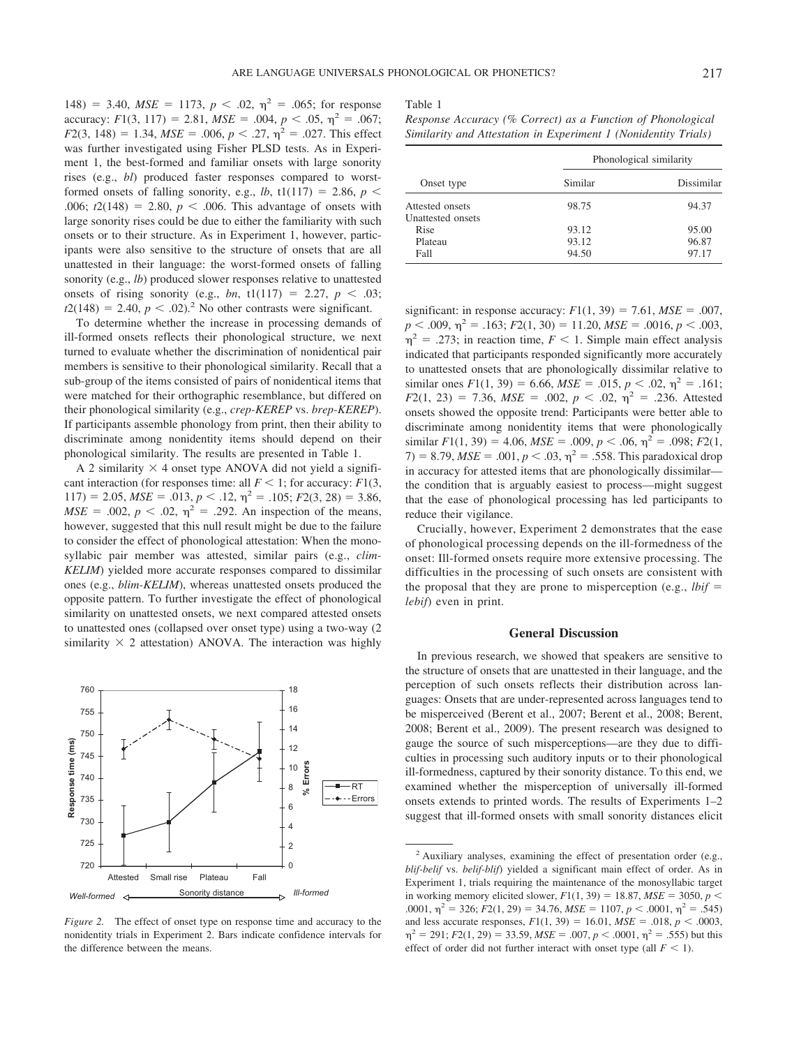148) = 3.40,  $MSE = 1173$ ,  $p < .02$ ,  $\eta^2 = .065$ ; for response accuracy:  $F1(3, 117) = 2.81$ ,  $MSE = .004$ ,  $p < .05$ ,  $\eta^2 = .067$ ;  $F2(3, 148) = 1.34$ ,  $MSE = .006$ ,  $p < .27$ ,  $\eta^2 = .027$ . This effect was further investigated using Fisher PLSD tests. As in Experiment 1, the best-formed and familiar onsets with large sonority rises (e.g., *bl*) produced faster responses compared to worstformed onsets of falling sonority, e.g., *lb*,  $t1(117) = 2.86$ ,  $p <$ .006;  $t2(148) = 2.80$ ,  $p < .006$ . This advantage of onsets with large sonority rises could be due to either the familiarity with such onsets or to their structure. As in Experiment 1, however, participants were also sensitive to the structure of onsets that are all unattested in their language: the worst-formed onsets of falling sonority (e.g., *lb*) produced slower responses relative to unattested onsets of rising sonority (e.g., *bn*, t1(117) = 2.27,  $p < .03$ ;  $t2(148) = 2.40, p < .02$ .<sup>2</sup> No other contrasts were significant.

To determine whether the increase in processing demands of ill-formed onsets reflects their phonological structure, we next turned to evaluate whether the discrimination of nonidentical pair members is sensitive to their phonological similarity. Recall that a sub-group of the items consisted of pairs of nonidentical items that were matched for their orthographic resemblance, but differed on their phonological similarity (e.g., *crep-KEREP* vs. *brep-KEREP*). If participants assemble phonology from print, then their ability to discriminate among nonidentity items should depend on their phonological similarity. The results are presented in Table 1.

A 2 similarity  $\times$  4 onset type ANOVA did not yield a significant interaction (for responses time: all  $F < 1$ ; for accuracy:  $F1(3, 1)$  $117$ ) = 2.05,  $MSE$  = .013,  $p < .12$ ,  $\eta^2$  = .105;  $F2(3, 28)$  = 3.86, *MSE* = .002,  $p < .02$ ,  $\eta^2 = .292$ . An inspection of the means, however, suggested that this null result might be due to the failure to consider the effect of phonological attestation: When the monosyllabic pair member was attested, similar pairs (e.g., *clim-KELIM*) yielded more accurate responses compared to dissimilar ones (e.g., *blim-KELIM*), whereas unattested onsets produced the opposite pattern. To further investigate the effect of phonological similarity on unattested onsets, we next compared attested onsets to unattested ones (collapsed over onset type) using a two-way (2 similarity  $\times$  2 attestation) ANOVA. The interaction was highly



*Figure 2.* The effect of onset type on response time and accuracy to the nonidentity trials in Experiment 2. Bars indicate confidence intervals for the difference between the means.

Table 1

*Response Accuracy (% Correct) as a Function of Phonological Similarity and Attestation in Experiment 1 (Nonidentity Trials)*

|                                      | Phonological similarity |            |  |
|--------------------------------------|-------------------------|------------|--|
| Onset type                           | Similar                 | Dissimilar |  |
| Attested onsets<br>Unattested onsets | 98.75                   | 94.37      |  |
| Rise                                 | 93.12                   | 95.00      |  |
| Plateau                              | 93.12                   | 96.87      |  |
| Fall                                 | 94.50                   | 97.17      |  |

significant: in response accuracy:  $F1(1, 39) = 7.61$ ,  $MSE = .007$ ,  $p < .009$ ,  $\eta^2 = .163$ ;  $F2(1, 30) = 11.20$ ,  $MSE = .0016$ ,  $p < .003$ ,  $\eta^2$  = .273; in reaction time,  $F < 1$ . Simple main effect analysis indicated that participants responded significantly more accurately to unattested onsets that are phonologically dissimilar relative to similar ones  $F1(1, 39) = 6.66$ ,  $MSE = .015$ ,  $p < .02$ ,  $\eta^2 = .161$ ;  $F2(1, 23) = 7.36$ ,  $MSE = .002$ ,  $p < .02$ ,  $\eta^2 = .236$ . Attested onsets showed the opposite trend: Participants were better able to discriminate among nonidentity items that were phonologically  $\text{similar } F1(1, 39) = 4.06, \text{MSE} = .009, \text{p} < .06, \text{p}^2 = .098; \text{F2}(1,$  $7) = 8.79$ ,  $MSE = .001$ ,  $p < .03$ ,  $\eta^2 = .558$ . This paradoxical drop in accuracy for attested items that are phonologically dissimilar the condition that is arguably easiest to process—might suggest that the ease of phonological processing has led participants to reduce their vigilance.

Crucially, however, Experiment 2 demonstrates that the ease of phonological processing depends on the ill-formedness of the onset: Ill-formed onsets require more extensive processing. The difficulties in the processing of such onsets are consistent with the proposal that they are prone to misperception (e.g.,  $l \frac{b}{f}$ ) *lebif*) even in print.

#### **General Discussion**

In previous research, we showed that speakers are sensitive to the structure of onsets that are unattested in their language, and the perception of such onsets reflects their distribution across languages: Onsets that are under-represented across languages tend to be misperceived (Berent et al., 2007; Berent et al., 2008; Berent, 2008; Berent et al., 2009). The present research was designed to gauge the source of such misperceptions—are they due to difficulties in processing such auditory inputs or to their phonological ill-formedness, captured by their sonority distance. To this end, we examined whether the misperception of universally ill-formed onsets extends to printed words. The results of Experiments 1–2 suggest that ill-formed onsets with small sonority distances elicit

<sup>2</sup> Auxiliary analyses, examining the effect of presentation order (e.g., *blif-belif* vs. *belif-blif*) yielded a significant main effect of order. As in Experiment 1, trials requiring the maintenance of the monosyllabic target in working memory elicited slower,  $F1(1, 39) = 18.87$ ,  $MSE = 3050$ ,  $p <$ .0001,  $\eta^2 = 326$ ; *F*2(1, 29) = 34.76, *MSE* = 1107, *p* < .0001,  $\eta^2 = .545$ ) and less accurate responses,  $F1(1, 39) = 16.01$ ,  $MSE = .018$ ,  $p < .0003$ ,  $\eta^2 = 291$ ; *F*2(1, 29) = 33.59, *MSE* = .007, *p* < .0001,  $\eta^2 = .555$ ) but this effect of order did not further interact with onset type (all  $F < 1$ ).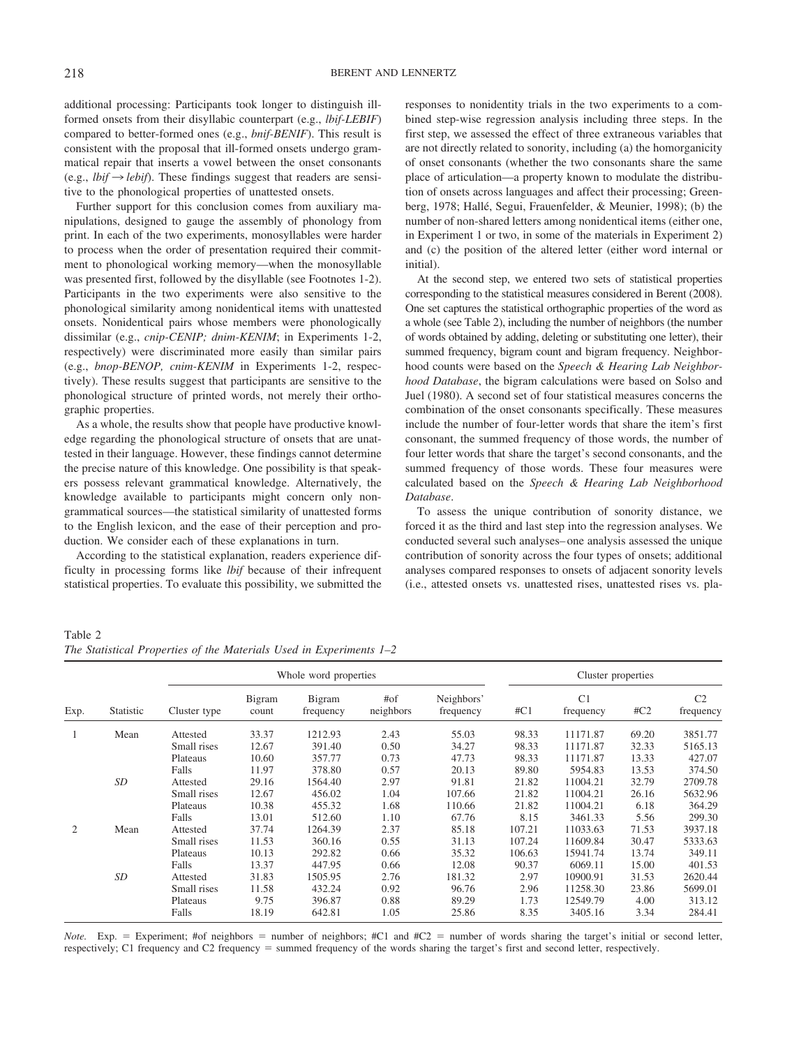additional processing: Participants took longer to distinguish illformed onsets from their disyllabic counterpart (e.g., *lbif-LEBIF*) compared to better-formed ones (e.g., *bnif-BENIF*). This result is consistent with the proposal that ill-formed onsets undergo grammatical repair that inserts a vowel between the onset consonants (e.g., *lbif*  $\rightarrow$  *lebif*). These findings suggest that readers are sensitive to the phonological properties of unattested onsets.

Further support for this conclusion comes from auxiliary manipulations, designed to gauge the assembly of phonology from print. In each of the two experiments, monosyllables were harder to process when the order of presentation required their commitment to phonological working memory—when the monosyllable was presented first, followed by the disyllable (see Footnotes 1-2). Participants in the two experiments were also sensitive to the phonological similarity among nonidentical items with unattested onsets. Nonidentical pairs whose members were phonologically dissimilar (e.g., *cnip-CENIP; dnim-KENIM*; in Experiments 1-2, respectively) were discriminated more easily than similar pairs (e.g., *bnop-BENOP, cnim-KENIM* in Experiments 1-2, respectively). These results suggest that participants are sensitive to the phonological structure of printed words, not merely their orthographic properties.

As a whole, the results show that people have productive knowledge regarding the phonological structure of onsets that are unattested in their language. However, these findings cannot determine the precise nature of this knowledge. One possibility is that speakers possess relevant grammatical knowledge. Alternatively, the knowledge available to participants might concern only nongrammatical sources—the statistical similarity of unattested forms to the English lexicon, and the ease of their perception and production. We consider each of these explanations in turn.

According to the statistical explanation, readers experience difficulty in processing forms like *lbif* because of their infrequent statistical properties. To evaluate this possibility, we submitted the responses to nonidentity trials in the two experiments to a combined step-wise regression analysis including three steps. In the first step, we assessed the effect of three extraneous variables that are not directly related to sonority, including (a) the homorganicity of onset consonants (whether the two consonants share the same place of articulation—a property known to modulate the distribution of onsets across languages and affect their processing; Greenberg, 1978; Hallé, Segui, Frauenfelder, & Meunier, 1998); (b) the number of non-shared letters among nonidentical items (either one, in Experiment 1 or two, in some of the materials in Experiment 2) and (c) the position of the altered letter (either word internal or initial).

At the second step, we entered two sets of statistical properties corresponding to the statistical measures considered in Berent (2008). One set captures the statistical orthographic properties of the word as a whole (see Table 2), including the number of neighbors (the number of words obtained by adding, deleting or substituting one letter), their summed frequency, bigram count and bigram frequency. Neighborhood counts were based on the *Speech & Hearing Lab Neighborhood Database*, the bigram calculations were based on Solso and Juel (1980). A second set of four statistical measures concerns the combination of the onset consonants specifically. These measures include the number of four-letter words that share the item's first consonant, the summed frequency of those words, the number of four letter words that share the target's second consonants, and the summed frequency of those words. These four measures were calculated based on the *Speech & Hearing Lab Neighborhood Database*.

To assess the unique contribution of sonority distance, we forced it as the third and last step into the regression analyses. We conducted several such analyses– one analysis assessed the unique contribution of sonority across the four types of onsets; additional analyses compared responses to onsets of adjacent sonority levels (i.e., attested onsets vs. unattested rises, unattested rises vs. pla-

Table 2 *The Statistical Properties of the Materials Used in Experiments 1–2*

|                |                | Whole word properties |                 |                     |                  | Cluster properties      |        |                             |       |                             |
|----------------|----------------|-----------------------|-----------------|---------------------|------------------|-------------------------|--------|-----------------------------|-------|-----------------------------|
| Exp.           | Statistic      | Cluster type          | Bigram<br>count | Bigram<br>frequency | #of<br>neighbors | Neighbors'<br>frequency | #C1    | C <sub>1</sub><br>frequency | #C2   | C <sub>2</sub><br>frequency |
| -1.            | Mean           | Attested              | 33.37           | 1212.93             | 2.43             | 55.03                   | 98.33  | 11171.87                    | 69.20 | 3851.77                     |
|                |                | Small rises           | 12.67           | 391.40              | 0.50             | 34.27                   | 98.33  | 11171.87                    | 32.33 | 5165.13                     |
|                |                | Plateaus              | 10.60           | 357.77              | 0.73             | 47.73                   | 98.33  | 11171.87                    | 13.33 | 427.07                      |
|                |                | Falls                 | 11.97           | 378.80              | 0.57             | 20.13                   | 89.80  | 5954.83                     | 13.53 | 374.50                      |
|                | SD <sub></sub> | Attested              | 29.16           | 1564.40             | 2.97             | 91.81                   | 21.82  | 11004.21                    | 32.79 | 2709.78                     |
|                |                | Small rises           | 12.67           | 456.02              | 1.04             | 107.66                  | 21.82  | 11004.21                    | 26.16 | 5632.96                     |
|                |                | Plateaus              | 10.38           | 455.32              | 1.68             | 110.66                  | 21.82  | 11004.21                    | 6.18  | 364.29                      |
|                |                | Falls                 | 13.01           | 512.60              | 1.10             | 67.76                   | 8.15   | 3461.33                     | 5.56  | 299.30                      |
| $\overline{c}$ | Mean           | Attested              | 37.74           | 1264.39             | 2.37             | 85.18                   | 107.21 | 11033.63                    | 71.53 | 3937.18                     |
|                |                | Small rises           | 11.53           | 360.16              | 0.55             | 31.13                   | 107.24 | 11609.84                    | 30.47 | 5333.63                     |
|                |                | Plateaus              | 10.13           | 292.82              | 0.66             | 35.32                   | 106.63 | 15941.74                    | 13.74 | 349.11                      |
|                |                | Falls                 | 13.37           | 447.95              | 0.66             | 12.08                   | 90.37  | 6069.11                     | 15.00 | 401.53                      |
|                | SD <sub></sub> | Attested              | 31.83           | 1505.95             | 2.76             | 181.32                  | 2.97   | 10900.91                    | 31.53 | 2620.44                     |
|                |                | Small rises           | 11.58           | 432.24              | 0.92             | 96.76                   | 2.96   | 11258.30                    | 23.86 | 5699.01                     |
|                |                | Plateaus              | 9.75            | 396.87              | 0.88             | 89.29                   | 1.73   | 12549.79                    | 4.00  | 313.12                      |
|                |                | Falls                 | 18.19           | 642.81              | 1.05             | 25.86                   | 8.35   | 3405.16                     | 3.34  | 284.41                      |

*Note.* Exp. = Experiment; #of neighbors = number of neighbors; #C1 and #C2 = number of words sharing the target's initial or second letter, respectively; C1 frequency and C2 frequency = summed frequency of the words sharing the target's first and second letter, respectively.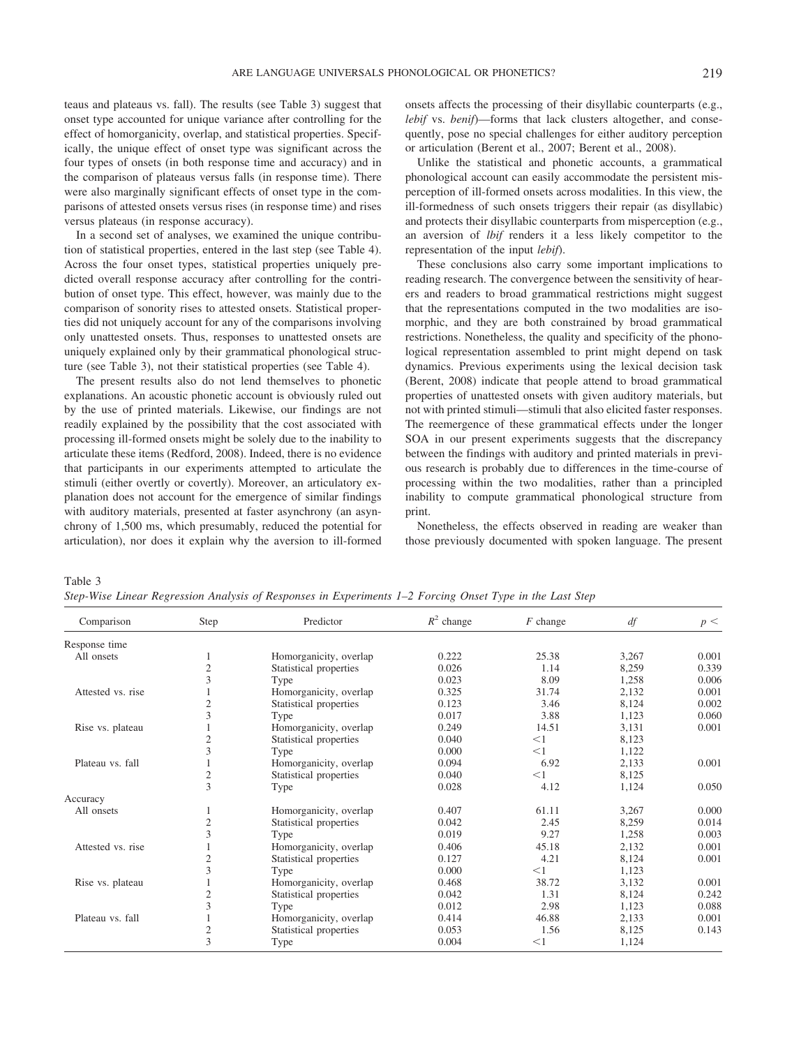teaus and plateaus vs. fall). The results (see Table 3) suggest that onset type accounted for unique variance after controlling for the effect of homorganicity, overlap, and statistical properties. Specifically, the unique effect of onset type was significant across the four types of onsets (in both response time and accuracy) and in the comparison of plateaus versus falls (in response time). There were also marginally significant effects of onset type in the comparisons of attested onsets versus rises (in response time) and rises versus plateaus (in response accuracy).

In a second set of analyses, we examined the unique contribution of statistical properties, entered in the last step (see Table 4). Across the four onset types, statistical properties uniquely predicted overall response accuracy after controlling for the contribution of onset type. This effect, however, was mainly due to the comparison of sonority rises to attested onsets. Statistical properties did not uniquely account for any of the comparisons involving only unattested onsets. Thus, responses to unattested onsets are uniquely explained only by their grammatical phonological structure (see Table 3), not their statistical properties (see Table 4).

The present results also do not lend themselves to phonetic explanations. An acoustic phonetic account is obviously ruled out by the use of printed materials. Likewise, our findings are not readily explained by the possibility that the cost associated with processing ill-formed onsets might be solely due to the inability to articulate these items (Redford, 2008). Indeed, there is no evidence that participants in our experiments attempted to articulate the stimuli (either overtly or covertly). Moreover, an articulatory explanation does not account for the emergence of similar findings with auditory materials, presented at faster asynchrony (an asynchrony of 1,500 ms, which presumably, reduced the potential for articulation), nor does it explain why the aversion to ill-formed onsets affects the processing of their disyllabic counterparts (e.g., *lebif* vs. *benif*)—forms that lack clusters altogether, and consequently, pose no special challenges for either auditory perception or articulation (Berent et al., 2007; Berent et al., 2008).

Unlike the statistical and phonetic accounts, a grammatical phonological account can easily accommodate the persistent misperception of ill-formed onsets across modalities. In this view, the ill-formedness of such onsets triggers their repair (as disyllabic) and protects their disyllabic counterparts from misperception (e.g., an aversion of *lbif* renders it a less likely competitor to the representation of the input *lebif*).

These conclusions also carry some important implications to reading research. The convergence between the sensitivity of hearers and readers to broad grammatical restrictions might suggest that the representations computed in the two modalities are isomorphic, and they are both constrained by broad grammatical restrictions. Nonetheless, the quality and specificity of the phonological representation assembled to print might depend on task dynamics. Previous experiments using the lexical decision task (Berent, 2008) indicate that people attend to broad grammatical properties of unattested onsets with given auditory materials, but not with printed stimuli—stimuli that also elicited faster responses. The reemergence of these grammatical effects under the longer SOA in our present experiments suggests that the discrepancy between the findings with auditory and printed materials in previous research is probably due to differences in the time-course of processing within the two modalities, rather than a principled inability to compute grammatical phonological structure from print.

Nonetheless, the effects observed in reading are weaker than those previously documented with spoken language. The present

Table 3

*Step-Wise Linear Regression Analysis of Responses in Experiments 1–2 Forcing Onset Type in the Last Step*

| Comparison        | Step                    | Predictor              | $R^2$ change | $F$ change | df    | p <   |
|-------------------|-------------------------|------------------------|--------------|------------|-------|-------|
| Response time     |                         |                        |              |            |       |       |
| All onsets        | 1                       | Homorganicity, overlap | 0.222        | 25.38      | 3,267 | 0.001 |
|                   | $\overline{\mathbf{c}}$ | Statistical properties | 0.026        | 1.14       | 8,259 | 0.339 |
|                   | 3                       | Type                   | 0.023        | 8.09       | 1,258 | 0.006 |
| Attested vs. rise |                         | Homorganicity, overlap | 0.325        | 31.74      | 2,132 | 0.001 |
|                   | $\overline{\mathbf{c}}$ | Statistical properties | 0.123        | 3.46       | 8,124 | 0.002 |
|                   | 3                       | Type                   | 0.017        | 3.88       | 1.123 | 0.060 |
| Rise vs. plateau  |                         | Homorganicity, overlap | 0.249        | 14.51      | 3.131 | 0.001 |
|                   | $\mathfrak{2}$          | Statistical properties | 0.040        | $<$ 1      | 8,123 |       |
|                   | 3                       | Type                   | 0.000        | $<$ 1      | 1.122 |       |
| Plateau vs. fall  | 1                       | Homorganicity, overlap | 0.094        | 6.92       | 2,133 | 0.001 |
|                   | $\overline{c}$          | Statistical properties | 0.040        | $<$ 1      | 8,125 |       |
|                   | 3                       | Type                   | 0.028        | 4.12       | 1,124 | 0.050 |
| Accuracy          |                         |                        |              |            |       |       |
| All onsets        | 1                       | Homorganicity, overlap | 0.407        | 61.11      | 3,267 | 0.000 |
|                   | $\overline{2}$          | Statistical properties | 0.042        | 2.45       | 8,259 | 0.014 |
|                   | 3                       | Type                   | 0.019        | 9.27       | 1,258 | 0.003 |
| Attested vs. rise |                         | Homorganicity, overlap | 0.406        | 45.18      | 2,132 | 0.001 |
|                   | 2                       | Statistical properties | 0.127        | 4.21       | 8,124 | 0.001 |
|                   | 3                       | Type                   | 0.000        | $<$ 1      | 1,123 |       |
| Rise vs. plateau  | 1                       | Homorganicity, overlap | 0.468        | 38.72      | 3,132 | 0.001 |
|                   | $\overline{c}$          | Statistical properties | 0.042        | 1.31       | 8.124 | 0.242 |
|                   | 3                       | Type                   | 0.012        | 2.98       | 1,123 | 0.088 |
| Plateau vs. fall  | 1                       | Homorganicity, overlap | 0.414        | 46.88      | 2,133 | 0.001 |
|                   | $\overline{2}$          | Statistical properties | 0.053        | 1.56       | 8.125 | 0.143 |
|                   | 3                       | Type                   | 0.004        | <1         | 1,124 |       |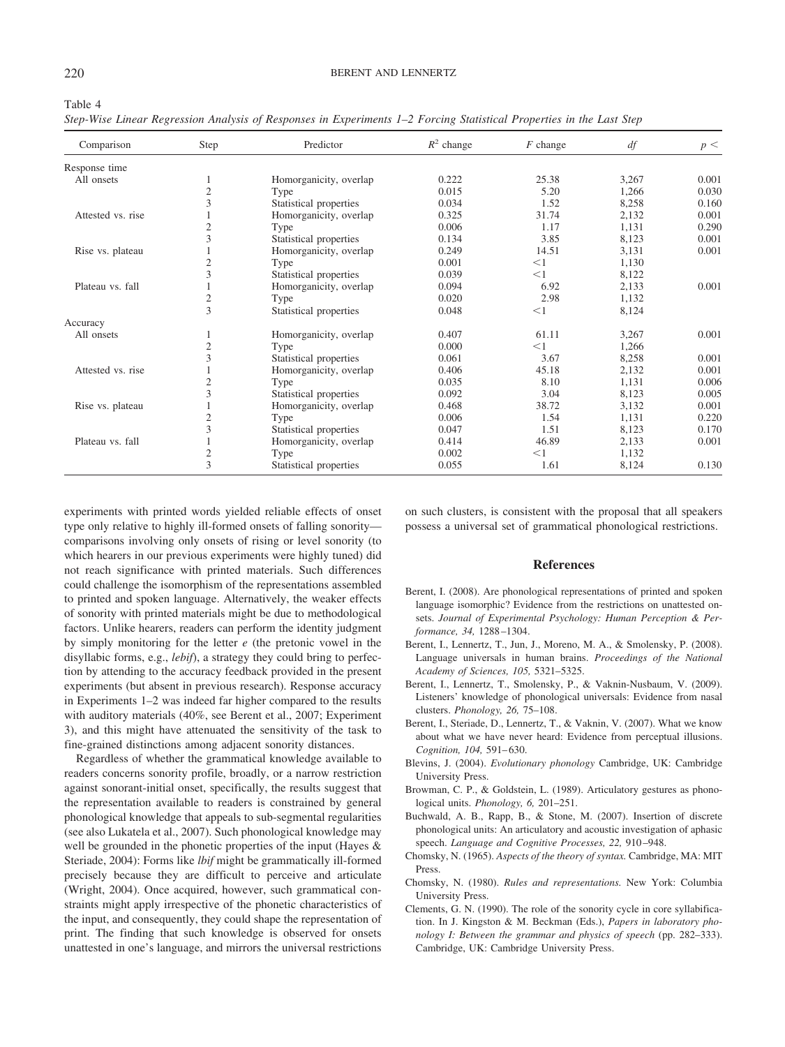| × |  |  |  |
|---|--|--|--|
|---|--|--|--|

*Step-Wise Linear Regression Analysis of Responses in Experiments 1–2 Forcing Statistical Properties in the Last Step*

| Comparison        | Step           | Predictor              | $R^2$ change | $F$ change | df    | p <   |
|-------------------|----------------|------------------------|--------------|------------|-------|-------|
| Response time     |                |                        |              |            |       |       |
| All onsets        |                | Homorganicity, overlap | 0.222        | 25.38      | 3,267 | 0.001 |
|                   | $\sqrt{2}$     | Type                   | 0.015        | 5.20       | 1,266 | 0.030 |
|                   | 3              | Statistical properties | 0.034        | 1.52       | 8,258 | 0.160 |
| Attested vs. rise |                | Homorganicity, overlap | 0.325        | 31.74      | 2,132 | 0.001 |
|                   | 2              | Type                   | 0.006        | 1.17       | 1,131 | 0.290 |
|                   | 3              | Statistical properties | 0.134        | 3.85       | 8,123 | 0.001 |
| Rise vs. plateau  |                | Homorganicity, overlap | 0.249        | 14.51      | 3,131 | 0.001 |
|                   | $\sqrt{2}$     | Type                   | 0.001        | <1         | 1,130 |       |
|                   | 3              | Statistical properties | 0.039        | <1         | 8,122 |       |
| Plateau vs. fall  | 1              | Homorganicity, overlap | 0.094        | 6.92       | 2,133 | 0.001 |
|                   | $\overline{c}$ | Type                   | 0.020        | 2.98       | 1,132 |       |
|                   | $\overline{3}$ | Statistical properties | 0.048        | <1         | 8,124 |       |
| Accuracy          |                |                        |              |            |       |       |
| All onsets        |                | Homorganicity, overlap | 0.407        | 61.11      | 3,267 | 0.001 |
|                   | $\mathfrak{2}$ | Type                   | 0.000        | <1         | 1,266 |       |
|                   | 3              | Statistical properties | 0.061        | 3.67       | 8,258 | 0.001 |
| Attested vs. rise |                | Homorganicity, overlap | 0.406        | 45.18      | 2,132 | 0.001 |
|                   | $\overline{c}$ | Type                   | 0.035        | 8.10       | 1.131 | 0.006 |
|                   | 3              | Statistical properties | 0.092        | 3.04       | 8,123 | 0.005 |
| Rise vs. plateau  |                | Homorganicity, overlap | 0.468        | 38.72      | 3,132 | 0.001 |
|                   | $\overline{c}$ | Type                   | 0.006        | 1.54       | 1,131 | 0.220 |
|                   | 3              | Statistical properties | 0.047        | 1.51       | 8,123 | 0.170 |
| Plateau vs. fall  |                | Homorganicity, overlap | 0.414        | 46.89      | 2,133 | 0.001 |
|                   | $\overline{c}$ | Type                   | 0.002        | <1         | 1,132 |       |
|                   | 3              | Statistical properties | 0.055        | 1.61       | 8,124 | 0.130 |

experiments with printed words yielded reliable effects of onset type only relative to highly ill-formed onsets of falling sonority comparisons involving only onsets of rising or level sonority (to which hearers in our previous experiments were highly tuned) did not reach significance with printed materials. Such differences could challenge the isomorphism of the representations assembled to printed and spoken language. Alternatively, the weaker effects of sonority with printed materials might be due to methodological factors. Unlike hearers, readers can perform the identity judgment by simply monitoring for the letter *e* (the pretonic vowel in the disyllabic forms, e.g., *lebif*), a strategy they could bring to perfection by attending to the accuracy feedback provided in the present experiments (but absent in previous research). Response accuracy in Experiments 1–2 was indeed far higher compared to the results with auditory materials (40%, see Berent et al., 2007; Experiment 3), and this might have attenuated the sensitivity of the task to fine-grained distinctions among adjacent sonority distances.

Regardless of whether the grammatical knowledge available to readers concerns sonority profile, broadly, or a narrow restriction against sonorant-initial onset, specifically, the results suggest that the representation available to readers is constrained by general phonological knowledge that appeals to sub-segmental regularities (see also Lukatela et al., 2007). Such phonological knowledge may well be grounded in the phonetic properties of the input (Hayes & Steriade, 2004): Forms like *lbif* might be grammatically ill-formed precisely because they are difficult to perceive and articulate (Wright, 2004). Once acquired, however, such grammatical constraints might apply irrespective of the phonetic characteristics of the input, and consequently, they could shape the representation of print. The finding that such knowledge is observed for onsets unattested in one's language, and mirrors the universal restrictions

on such clusters, is consistent with the proposal that all speakers possess a universal set of grammatical phonological restrictions.

#### **References**

- Berent, I. (2008). Are phonological representations of printed and spoken language isomorphic? Evidence from the restrictions on unattested onsets. *Journal of Experimental Psychology: Human Perception & Performance, 34,* 1288 –1304.
- Berent, I., Lennertz, T., Jun, J., Moreno, M. A., & Smolensky, P. (2008). Language universals in human brains. *Proceedings of the National Academy of Sciences, 105,* 5321–5325.
- Berent, I., Lennertz, T., Smolensky, P., & Vaknin-Nusbaum, V. (2009). Listeners' knowledge of phonological universals: Evidence from nasal clusters. *Phonology, 26,* 75–108.
- Berent, I., Steriade, D., Lennertz, T., & Vaknin, V. (2007). What we know about what we have never heard: Evidence from perceptual illusions. *Cognition, 104,* 591– 630.
- Blevins, J. (2004). *Evolutionary phonology* Cambridge, UK: Cambridge University Press.
- Browman, C. P., & Goldstein, L. (1989). Articulatory gestures as phonological units. *Phonology, 6,* 201–251.
- Buchwald, A. B., Rapp, B., & Stone, M. (2007). Insertion of discrete phonological units: An articulatory and acoustic investigation of aphasic speech. *Language and Cognitive Processes, 22,* 910 –948.
- Chomsky, N. (1965). *Aspects of the theory of syntax.* Cambridge, MA: MIT Press.
- Chomsky, N. (1980). *Rules and representations.* New York: Columbia University Press.
- Clements, G. N. (1990). The role of the sonority cycle in core syllabification. In J. Kingston & M. Beckman (Eds.), *Papers in laboratory phonology I: Between the grammar and physics of speech* (pp. 282–333). Cambridge, UK: Cambridge University Press.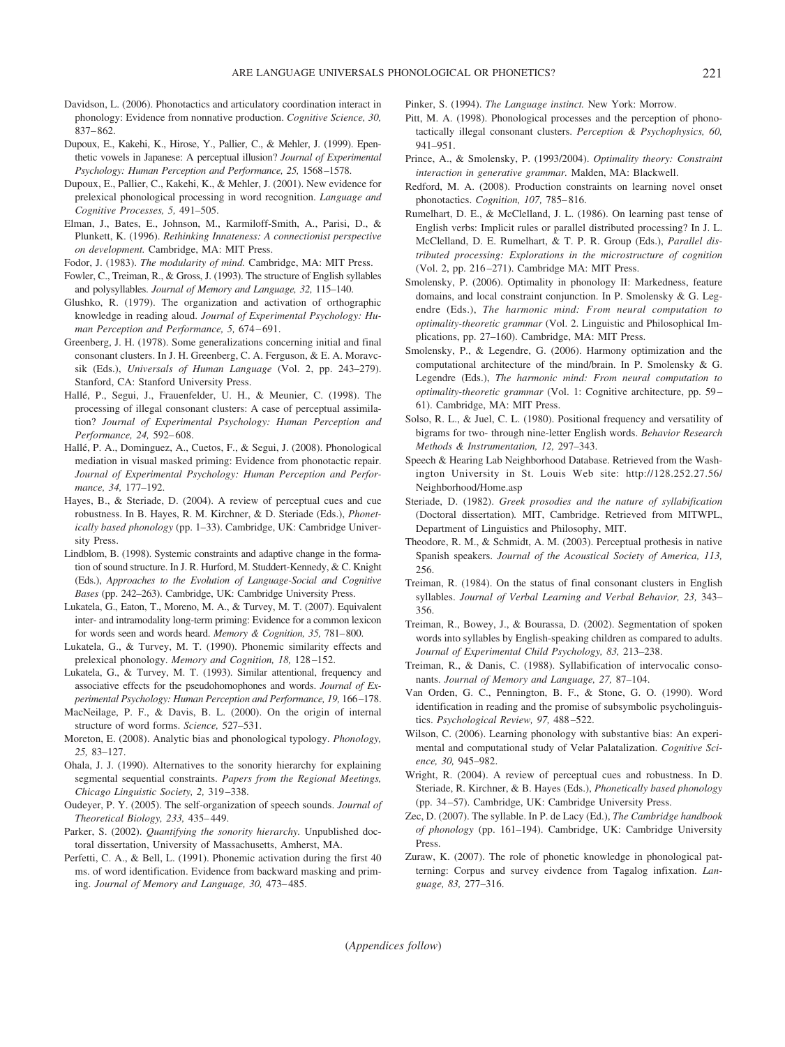- Davidson, L. (2006). Phonotactics and articulatory coordination interact in phonology: Evidence from nonnative production. *Cognitive Science, 30,* 837– 862.
- Dupoux, E., Kakehi, K., Hirose, Y., Pallier, C., & Mehler, J. (1999). Epenthetic vowels in Japanese: A perceptual illusion? *Journal of Experimental Psychology: Human Perception and Performance, 25,* 1568 –1578.
- Dupoux, E., Pallier, C., Kakehi, K., & Mehler, J. (2001). New evidence for prelexical phonological processing in word recognition. *Language and Cognitive Processes, 5,* 491–505.
- Elman, J., Bates, E., Johnson, M., Karmiloff-Smith, A., Parisi, D., & Plunkett, K. (1996). *Rethinking Innateness: A connectionist perspective on development.* Cambridge, MA: MIT Press.
- Fodor, J. (1983). *The modularity of mind.* Cambridge, MA: MIT Press.
- Fowler, C., Treiman, R., & Gross, J. (1993). The structure of English syllables and polysyllables. *Journal of Memory and Language, 32,* 115–140.
- Glushko, R. (1979). The organization and activation of orthographic knowledge in reading aloud. *Journal of Experimental Psychology: Human Perception and Performance, 5,* 674 – 691.
- Greenberg, J. H. (1978). Some generalizations concerning initial and final consonant clusters. In J. H. Greenberg, C. A. Ferguson, & E. A. Moravcsik (Eds.), *Universals of Human Language* (Vol. 2, pp. 243–279). Stanford, CA: Stanford University Press.
- Hallé, P., Segui, J., Frauenfelder, U. H., & Meunier, C. (1998). The processing of illegal consonant clusters: A case of perceptual assimilation? *Journal of Experimental Psychology: Human Perception and Performance, 24,* 592– 608.
- Hallé, P. A., Dominguez, A., Cuetos, F., & Segui, J. (2008). Phonological mediation in visual masked priming: Evidence from phonotactic repair. *Journal of Experimental Psychology: Human Perception and Performance, 34,* 177–192.
- Hayes, B., & Steriade, D. (2004). A review of perceptual cues and cue robustness. In B. Hayes, R. M. Kirchner, & D. Steriade (Eds.), *Phonetically based phonology* (pp. 1–33). Cambridge, UK: Cambridge University Press.
- Lindblom, B. (1998). Systemic constraints and adaptive change in the formation of sound structure. In J. R. Hurford, M. Studdert-Kennedy, & C. Knight (Eds.), *Approaches to the Evolution of Language-Social and Cognitive Bases* (pp. 242–263). Cambridge, UK: Cambridge University Press.
- Lukatela, G., Eaton, T., Moreno, M. A., & Turvey, M. T. (2007). Equivalent inter- and intramodality long-term priming: Evidence for a common lexicon for words seen and words heard. *Memory & Cognition, 35,* 781– 800.
- Lukatela, G., & Turvey, M. T. (1990). Phonemic similarity effects and prelexical phonology. *Memory and Cognition, 18, 128-152.*
- Lukatela, G., & Turvey, M. T. (1993). Similar attentional, frequency and associative effects for the pseudohomophones and words. *Journal of Experimental Psychology: Human Perception and Performance, 19,* 166 –178.
- MacNeilage, P. F., & Davis, B. L. (2000). On the origin of internal structure of word forms. *Science,* 527–531.
- Moreton, E. (2008). Analytic bias and phonological typology. *Phonology, 25,* 83–127.
- Ohala, J. J. (1990). Alternatives to the sonority hierarchy for explaining segmental sequential constraints. *Papers from the Regional Meetings, Chicago Linguistic Society, 2,* 319 –338.
- Oudeyer, P. Y. (2005). The self-organization of speech sounds. *Journal of Theoretical Biology, 233,* 435– 449.
- Parker, S. (2002). *Quantifying the sonority hierarchy.* Unpublished doctoral dissertation, University of Massachusetts, Amherst, MA.
- Perfetti, C. A., & Bell, L. (1991). Phonemic activation during the first 40 ms. of word identification. Evidence from backward masking and priming. *Journal of Memory and Language, 30,* 473– 485.

Pinker, S. (1994). *The Language instinct.* New York: Morrow.

- Pitt, M. A. (1998). Phonological processes and the perception of phonotactically illegal consonant clusters. *Perception & Psychophysics, 60,* 941–951.
- Prince, A., & Smolensky, P. (1993/2004). *Optimality theory: Constraint interaction in generative grammar.* Malden, MA: Blackwell.
- Redford, M. A. (2008). Production constraints on learning novel onset phonotactics. *Cognition, 107,* 785– 816.
- Rumelhart, D. E., & McClelland, J. L. (1986). On learning past tense of English verbs: Implicit rules or parallel distributed processing? In J. L. McClelland, D. E. Rumelhart, & T. P. R. Group (Eds.), *Parallel distributed processing: Explorations in the microstructure of cognition* (Vol. 2, pp. 216 –271). Cambridge MA: MIT Press.
- Smolensky, P. (2006). Optimality in phonology II: Markedness, feature domains, and local constraint conjunction. In P. Smolensky & G. Legendre (Eds.), *The harmonic mind: From neural computation to optimality-theoretic grammar* (Vol. 2. Linguistic and Philosophical Implications, pp. 27–160). Cambridge, MA: MIT Press.
- Smolensky, P., & Legendre, G. (2006). Harmony optimization and the computational architecture of the mind/brain. In P. Smolensky & G. Legendre (Eds.), *The harmonic mind: From neural computation to optimality-theoretic grammar* (Vol. 1: Cognitive architecture, pp. 59 – 61). Cambridge, MA: MIT Press.
- Solso, R. L., & Juel, C. L. (1980). Positional frequency and versatility of bigrams for two- through nine-letter English words. *Behavior Research Methods & Instrumentation, 12,* 297–343.
- Speech & Hearing Lab Neighborhood Database. Retrieved from the Washington University in St. Louis Web site: http://128.252.27.56/ Neighborhood/Home.asp
- Steriade, D. (1982). *Greek prosodies and the nature of syllabification* (Doctoral dissertation)*.* MIT, Cambridge. Retrieved from MITWPL, Department of Linguistics and Philosophy, MIT.
- Theodore, R. M., & Schmidt, A. M. (2003). Perceptual prothesis in native Spanish speakers. *Journal of the Acoustical Society of America, 113,* 256.
- Treiman, R. (1984). On the status of final consonant clusters in English syllables. *Journal of Verbal Learning and Verbal Behavior, 23,* 343– 356.
- Treiman, R., Bowey, J., & Bourassa, D. (2002). Segmentation of spoken words into syllables by English-speaking children as compared to adults. *Journal of Experimental Child Psychology, 83,* 213–238.
- Treiman, R., & Danis, C. (1988). Syllabification of intervocalic consonants. *Journal of Memory and Language, 27,* 87–104.
- Van Orden, G. C., Pennington, B. F., & Stone, G. O. (1990). Word identification in reading and the promise of subsymbolic psycholinguistics. *Psychological Review, 97,* 488 –522.
- Wilson, C. (2006). Learning phonology with substantive bias: An experimental and computational study of Velar Palatalization. *Cognitive Science, 30,* 945–982.
- Wright, R. (2004). A review of perceptual cues and robustness. In D. Steriade, R. Kirchner, & B. Hayes (Eds.), *Phonetically based phonology* (pp. 34 –57). Cambridge, UK: Cambridge University Press.
- Zec, D. (2007). The syllable. In P. de Lacy (Ed.), *The Cambridge handbook of phonology* (pp. 161–194). Cambridge, UK: Cambridge University Press.
- Zuraw, K. (2007). The role of phonetic knowledge in phonological patterning: Corpus and survey eivdence from Tagalog infixation. *Language, 83,* 277–316.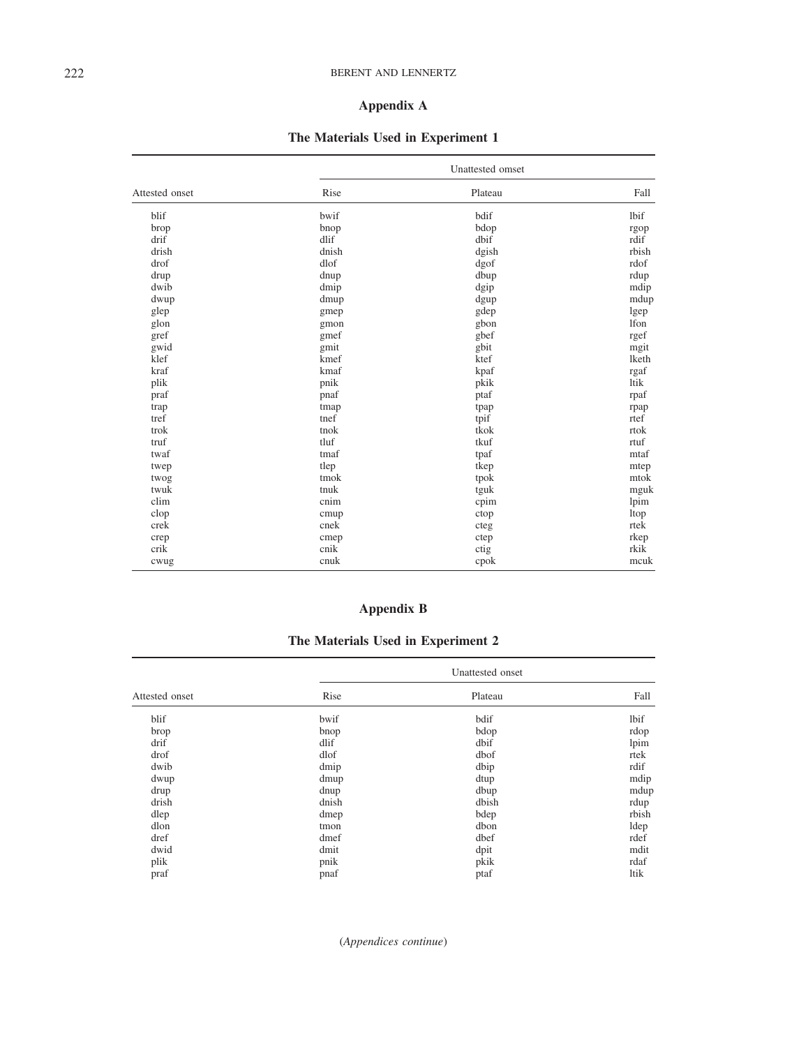# **Appendix A**

## **The Materials Used in Experiment 1**

|                |       | Unattested omset |                       |
|----------------|-------|------------------|-----------------------|
| Attested onset | Rise  | Plateau          | Fall                  |
| blif           | bwif  | bdif             | <b>lbif</b>           |
| brop           | bnop  | bdop             | rgop                  |
| drif           | dlif  | dbif             | rdif                  |
| drish          | dnish | dgish            | rbish                 |
| drof           | dlof  | dgof             | rdof                  |
| drup           | dnup  | dbup             | rdup                  |
| dwib           | dmip  | dgip             | mdip                  |
| dwup           | dmup  | dgup             | mdup                  |
| glep           | gmep  | gdep             | lgep                  |
| glon           | gmon  | gbon             | <b>lfon</b>           |
| gref           | gmef  | gbef             | rgef                  |
| gwid           | gmit  | gbit             | mgit                  |
| klef           | kmef  | ktef             | lketh                 |
| kraf           | kmaf  | kpaf             | $\operatorname{rgaf}$ |
| plik           | pnik  | pkik             | ltik                  |
| praf           | pnaf  | ptaf             | rpaf                  |
| trap           | tmap  | tpap             | rpap                  |
| tref           | tnef  | tpif             | rtef                  |
| trok           | tnok  | tkok             | rtok                  |
| truf           | tluf  | tkuf             | rtuf                  |
| twaf           | tmaf  | tpaf             | mtaf                  |
| twep           | tlep  | tkep             | mtep                  |
| twog           | tmok  | tpok             | mtok                  |
| twuk           | tnuk  | tguk             | mguk                  |
| clim           | cnim  | cpim             | lpim                  |
| clop           | cmup  | ctop             | ltop                  |
| crek           | cnek  | cteg             | rtek                  |
| crep           | cmep  | ctep             | rkep                  |
| crik           | cnik  | ctig             | rkik                  |
| cwug           | cnuk  | cpok             | mcuk                  |

# **Appendix B**

# **The Materials Used in Experiment 2**

| Attested onset | Unattested onset |         |       |  |  |
|----------------|------------------|---------|-------|--|--|
|                | Rise             | Plateau | Fall  |  |  |
| blif           | bwif             | bdif    | lbif  |  |  |
| brop           | bnop             | bdop    | rdop  |  |  |
| drif           | dlif             | dbif    | lpim  |  |  |
| drof           | dlof             | dbof    | rtek  |  |  |
| dwib           | dmip             | dbip    | rdif  |  |  |
| dwup           | dmup             | dtup    | mdip  |  |  |
| drup           | dnup             | dbup    | mdup  |  |  |
| drish          | dnish            | dbish   | rdup  |  |  |
| dlep           | dmep             | bdep    | rbish |  |  |
| dlon           | tmon             | dbon    | ldep  |  |  |
| dref           | dmef             | dbef    | rdef  |  |  |
| dwid           | dmit             | dpit    | mdit  |  |  |
| plik           | pnik             | pkik    | rdaf  |  |  |
| praf           | pnaf             | ptaf    | ltik  |  |  |

(*Appendices continue*)